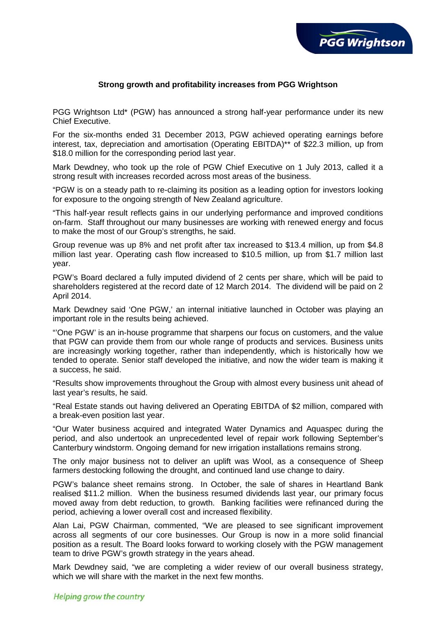

# **Strong growth and profitability increases from PGG Wrightson**

PGG Wrightson Ltd\* (PGW) has announced a strong half-year performance under its new Chief Executive.

For the six-months ended 31 December 2013, PGW achieved operating earnings before interest, tax, depreciation and amortisation (Operating EBITDA)\*\* of \$22.3 million, up from \$18.0 million for the corresponding period last year.

Mark Dewdney, who took up the role of PGW Chief Executive on 1 July 2013, called it a strong result with increases recorded across most areas of the business.

"PGW is on a steady path to re-claiming its position as a leading option for investors looking for exposure to the ongoing strength of New Zealand agriculture.

"This half-year result reflects gains in our underlying performance and improved conditions on-farm. Staff throughout our many businesses are working with renewed energy and focus to make the most of our Group's strengths, he said.

Group revenue was up 8% and net profit after tax increased to \$13.4 million, up from \$4.8 million last year. Operating cash flow increased to \$10.5 million, up from \$1.7 million last year.

PGW's Board declared a fully imputed dividend of 2 cents per share, which will be paid to shareholders registered at the record date of 12 March 2014. The dividend will be paid on 2 April 2014.

Mark Dewdney said 'One PGW,' an internal initiative launched in October was playing an important role in the results being achieved.

"'One PGW' is an in-house programme that sharpens our focus on customers, and the value that PGW can provide them from our whole range of products and services. Business units are increasingly working together, rather than independently, which is historically how we tended to operate. Senior staff developed the initiative, and now the wider team is making it a success, he said.

"Results show improvements throughout the Group with almost every business unit ahead of last year's results, he said.

"Real Estate stands out having delivered an Operating EBITDA of \$2 million, compared with a break-even position last year.

"Our Water business acquired and integrated Water Dynamics and Aquaspec during the period, and also undertook an unprecedented level of repair work following September's Canterbury windstorm. Ongoing demand for new irrigation installations remains strong.

The only major business not to deliver an uplift was Wool, as a consequence of Sheep farmers destocking following the drought, and continued land use change to dairy.

PGW's balance sheet remains strong. In October, the sale of shares in Heartland Bank realised \$11.2 million. When the business resumed dividends last year, our primary focus moved away from debt reduction, to growth. Banking facilities were refinanced during the period, achieving a lower overall cost and increased flexibility.

Alan Lai, PGW Chairman, commented, "We are pleased to see significant improvement across all segments of our core businesses. Our Group is now in a more solid financial position as a result. The Board looks forward to working closely with the PGW management team to drive PGW's growth strategy in the years ahead.

Mark Dewdney said, "we are completing a wider review of our overall business strategy, which we will share with the market in the next few months.

# Helping grow the country